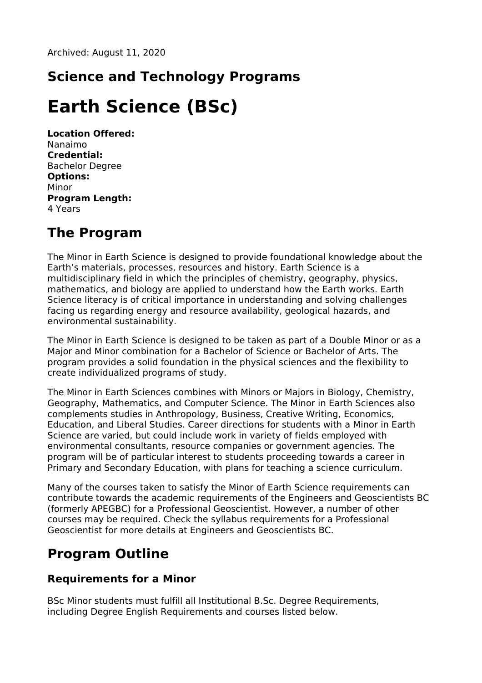## **Science and Technology Programs**

# **Earth Science (BSc)**

**Location Offered:** Nanaimo **Credential:** Bachelor Degree **Options:** Minor **Program Length:** 4 Years

#### **The Program**

The Minor in Earth Science is designed to provide foundational knowledge about the Earth's materials, processes, resources and history. Earth Science is a multidisciplinary field in which the principles of chemistry, geography, physics, mathematics, and biology are applied to understand how the Earth works. Earth Science literacy is of critical importance in understanding and solving challenges facing us regarding energy and resource availability, geological hazards, and environmental sustainability.

The Minor in Earth Science is designed to be taken as part of a Double Minor or as a Major and Minor combination for a Bachelor of Science or Bachelor of Arts. The program provides a solid foundation in the physical sciences and the flexibility to create individualized programs of study.

The Minor in Earth Sciences combines with Minors or Majors in Biology, Chemistry, Geography, Mathematics, and Computer Science. The Minor in Earth Sciences also complements studies in Anthropology, Business, Creative Writing, Economics, Education, and Liberal Studies. Career directions for students with a Minor in Earth Science are varied, but could include work in variety of fields employed with environmental consultants, resource companies or government agencies. The program will be of particular interest to students proceeding towards a career in Primary and Secondary Education, with plans for teaching a science curriculum.

Many of the courses taken to satisfy the Minor of Earth Science requirements can contribute towards the academic requirements of the Engineers and Geoscientists BC (formerly APEGBC) for a Professional Geoscientist. However, a number of other courses may be required. Check the syllabus requirements for a Professional Geoscientist for more details at Engineers and Geoscientists BC.

### **Program Outline**

#### **Requirements for a Minor**

BSc Minor students must fulfill all Institutional B.Sc. Degree Requirements, including Degree English Requirements and courses listed below.